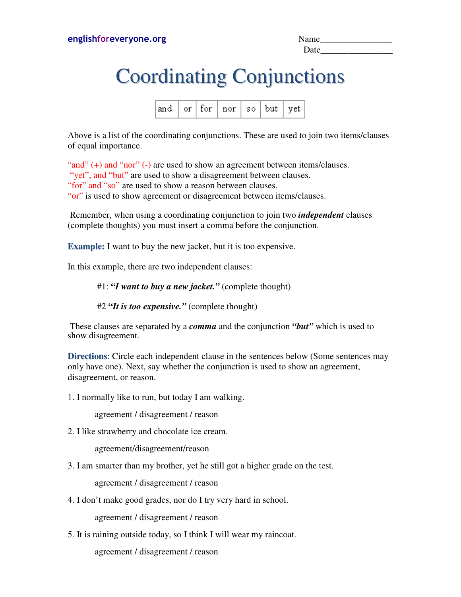| Name |  |
|------|--|
| Date |  |

## Coordinating Conjunctions

|  |  |  | $\begin{array}{ c c c c c }\n\hline \end{array}$ and $\begin{array}{ c c c c }\n\hline \end{array}$ for $\begin{array}{ c c c }\n\hline \end{array}$ nor $\begin{array}{ c c c }\n\hline \end{array}$ so $\begin{array}{ c c c }\n\hline \end{array}$ but $\begin{array}{ c c c }\n\hline \end{array}$ yet $\begin{array}{ c c c }\n\hline \end{array}$ |  |  |  |
|--|--|--|---------------------------------------------------------------------------------------------------------------------------------------------------------------------------------------------------------------------------------------------------------------------------------------------------------------------------------------------------------|--|--|--|
|--|--|--|---------------------------------------------------------------------------------------------------------------------------------------------------------------------------------------------------------------------------------------------------------------------------------------------------------------------------------------------------------|--|--|--|

Above is a list of the coordinating conjunctions. These are used to join two items/clauses of equal importance.

"and" (+) and "nor" (-) are used to show an agreement between items/clauses. "yet", and "but" are used to show a disagreement between clauses. "for" and "so" are used to show a reason between clauses. "or" is used to show agreement or disagreement between items/clauses.

 Remember, when using a coordinating conjunction to join two *independent* clauses (complete thoughts) you must insert a comma before the conjunction.

**Example:** I want to buy the new jacket, but it is too expensive.

In this example, there are two independent clauses:

## #1: **"***I want to buy a new jacket."* (complete thought)

#2 **"***It is too expensive."* (complete thought)

These clauses are separated by a *comma* and the conjunction *"but"* which is used to show disagreement.

**Directions:** Circle each independent clause in the sentences below (Some sentences may only have one). Next, say whether the conjunction is used to show an agreement, disagreement, or reason.

1. I normally like to run, but today I am walking.

agreement / disagreement / reason

2. I like strawberry and chocolate ice cream.

agreement/disagreement/reason

3. I am smarter than my brother, yet he still got a higher grade on the test.

agreement / disagreement / reason

4. I don't make good grades, nor do I try very hard in school.

agreement / disagreement / reason

5. It is raining outside today, so I think I will wear my raincoat.

agreement / disagreement / reason